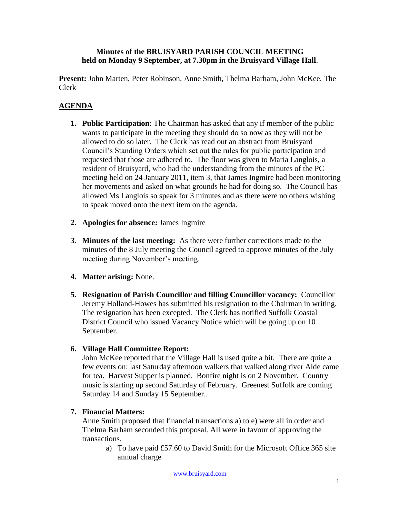#### **Minutes of the BRUISYARD PARISH COUNCIL MEETING held on Monday 9 September, at 7.30pm in the Bruisyard Village Hall**.

**Present:** John Marten, Peter Robinson, Anne Smith, Thelma Barham, John McKee, The Clerk

# **AGENDA**

- **1. Public Participation**: The Chairman has asked that any if member of the public wants to participate in the meeting they should do so now as they will not be allowed to do so later. The Clerk has read out an abstract from Bruisyard Council's Standing Orders which set out the rules for public participation and requested that those are adhered to. The floor was given to Maria Langlois, a resident of Bruisyard, who had the understanding from the minutes of the PC meeting held on 24 January 2011, item 3, that James Ingmire had been monitoring her movements and asked on what grounds he had for doing so. The Council has allowed Ms Langlois so speak for 3 minutes and as there were no others wishing to speak moved onto the next item on the agenda.
- **2. Apologies for absence:** James Ingmire
- **3. Minutes of the last meeting:** As there were further corrections made to the minutes of the 8 July meeting the Council agreed to approve minutes of the July meeting during November's meeting.
- **4. Matter arising:** None.
- **5. Resignation of Parish Councillor and filling Councillor vacancy:** Councillor Jeremy Holland-Howes has submitted his resignation to the Chairman in writing. The resignation has been excepted. The Clerk has notified Suffolk Coastal District Council who issued Vacancy Notice which will be going up on 10 September.

## **6. Village Hall Committee Report:**

John McKee reported that the Village Hall is used quite a bit. There are quite a few events on: last Saturday afternoon walkers that walked along river Alde came for tea. Harvest Supper is planned. Bonfire night is on 2 November. Country music is starting up second Saturday of February. Greenest Suffolk are coming Saturday 14 and Sunday 15 September..

### **7. Financial Matters:**

Anne Smith proposed that financial transactions a) to e) were all in order and Thelma Barham seconded this proposal. All were in favour of approving the transactions.

a) To have paid £57.60 to David Smith for the Microsoft Office 365 site annual charge